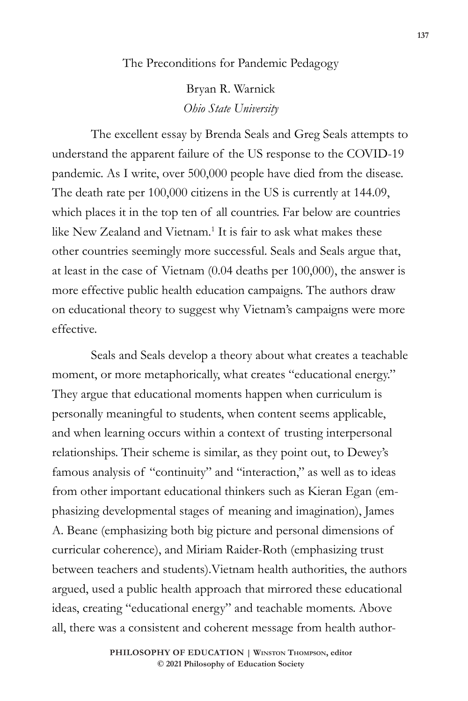The Preconditions for Pandemic Pedagogy

Bryan R. Warnick *Ohio State University* 

The excellent essay by Brenda Seals and Greg Seals attempts to understand the apparent failure of the US response to the COVID-19 pandemic. As I write, over 500,000 people have died from the disease. The death rate per 100,000 citizens in the US is currently at 144.09, which places it in the top ten of all countries. Far below are countries like New Zealand and Vietnam.<sup>1</sup> It is fair to ask what makes these other countries seemingly more successful. Seals and Seals argue that, at least in the case of Vietnam (0.04 deaths per 100,000), the answer is more effective public health education campaigns. The authors draw on educational theory to suggest why Vietnam's campaigns were more effective.

Seals and Seals develop a theory about what creates a teachable moment, or more metaphorically, what creates "educational energy." They argue that educational moments happen when curriculum is personally meaningful to students, when content seems applicable, and when learning occurs within a context of trusting interpersonal relationships. Their scheme is similar, as they point out, to Dewey's famous analysis of "continuity" and "interaction," as well as to ideas from other important educational thinkers such as Kieran Egan (emphasizing developmental stages of meaning and imagination), James A. Beane (emphasizing both big picture and personal dimensions of curricular coherence), and Miriam Raider-Roth (emphasizing trust between teachers and students).Vietnam health authorities, the authors argued, used a public health approach that mirrored these educational ideas, creating "educational energy" and teachable moments. Above all, there was a consistent and coherent message from health author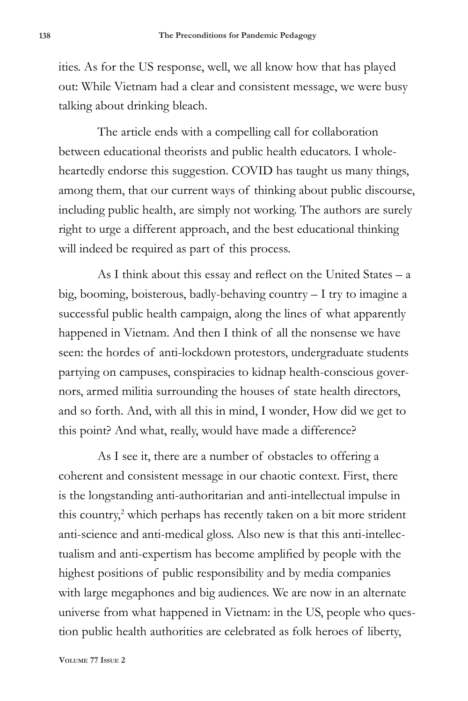ities. As for the US response, well, we all know how that has played out: While Vietnam had a clear and consistent message, we were busy talking about drinking bleach.

The article ends with a compelling call for collaboration between educational theorists and public health educators. I wholeheartedly endorse this suggestion. COVID has taught us many things, among them, that our current ways of thinking about public discourse, including public health, are simply not working. The authors are surely right to urge a different approach, and the best educational thinking will indeed be required as part of this process.

As I think about this essay and reflect on the United States – a big, booming, boisterous, badly-behaving country – I try to imagine a successful public health campaign, along the lines of what apparently happened in Vietnam. And then I think of all the nonsense we have seen: the hordes of anti-lockdown protestors, undergraduate students partying on campuses, conspiracies to kidnap health-conscious governors, armed militia surrounding the houses of state health directors, and so forth. And, with all this in mind, I wonder, How did we get to this point? And what, really, would have made a difference?

As I see it, there are a number of obstacles to offering a coherent and consistent message in our chaotic context. First, there is the longstanding anti-authoritarian and anti-intellectual impulse in this country,<sup>2</sup> which perhaps has recently taken on a bit more strident anti-science and anti-medical gloss. Also new is that this anti-intellectualism and anti-expertism has become amplified by people with the highest positions of public responsibility and by media companies with large megaphones and big audiences. We are now in an alternate universe from what happened in Vietnam: in the US, people who question public health authorities are celebrated as folk heroes of liberty,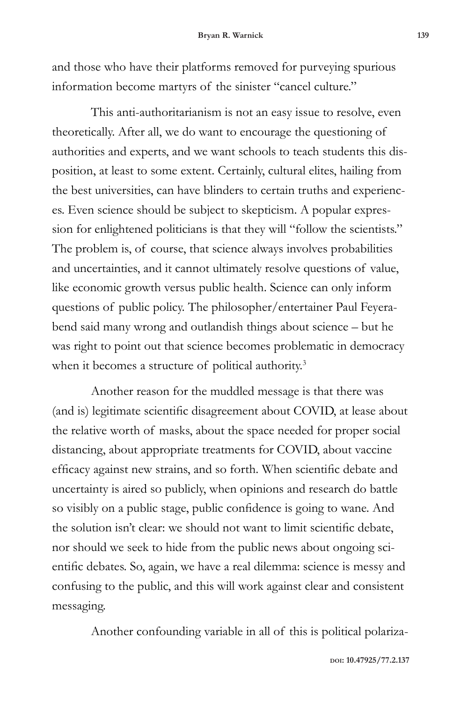and those who have their platforms removed for purveying spurious information become martyrs of the sinister "cancel culture."

This anti-authoritarianism is not an easy issue to resolve, even theoretically. After all, we do want to encourage the questioning of authorities and experts, and we want schools to teach students this disposition, at least to some extent. Certainly, cultural elites, hailing from the best universities, can have blinders to certain truths and experiences. Even science should be subject to skepticism. A popular expression for enlightened politicians is that they will "follow the scientists." The problem is, of course, that science always involves probabilities and uncertainties, and it cannot ultimately resolve questions of value, like economic growth versus public health. Science can only inform questions of public policy. The philosopher/entertainer Paul Feyerabend said many wrong and outlandish things about science – but he was right to point out that science becomes problematic in democracy when it becomes a structure of political authority.<sup>3</sup>

Another reason for the muddled message is that there was (and is) legitimate scientific disagreement about COVID, at lease about the relative worth of masks, about the space needed for proper social distancing, about appropriate treatments for COVID, about vaccine efficacy against new strains, and so forth. When scientific debate and uncertainty is aired so publicly, when opinions and research do battle so visibly on a public stage, public confidence is going to wane. And the solution isn't clear: we should not want to limit scientific debate, nor should we seek to hide from the public news about ongoing scientific debates. So, again, we have a real dilemma: science is messy and confusing to the public, and this will work against clear and consistent messaging.

Another confounding variable in all of this is political polariza-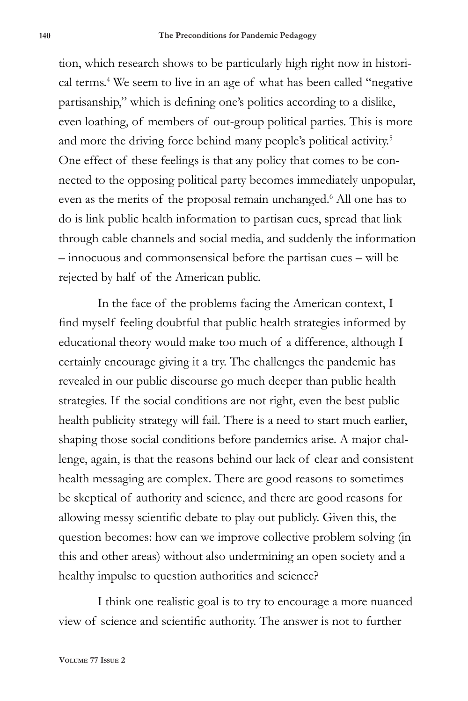tion, which research shows to be particularly high right now in historical terms.4 We seem to live in an age of what has been called "negative partisanship," which is defining one's politics according to a dislike, even loathing, of members of out-group political parties. This is more and more the driving force behind many people's political activity.<sup>5</sup> One effect of these feelings is that any policy that comes to be connected to the opposing political party becomes immediately unpopular, even as the merits of the proposal remain unchanged.<sup>6</sup> All one has to do is link public health information to partisan cues, spread that link through cable channels and social media, and suddenly the information – innocuous and commonsensical before the partisan cues – will be rejected by half of the American public.

In the face of the problems facing the American context, I find myself feeling doubtful that public health strategies informed by educational theory would make too much of a difference, although I certainly encourage giving it a try. The challenges the pandemic has revealed in our public discourse go much deeper than public health strategies. If the social conditions are not right, even the best public health publicity strategy will fail. There is a need to start much earlier, shaping those social conditions before pandemics arise. A major challenge, again, is that the reasons behind our lack of clear and consistent health messaging are complex. There are good reasons to sometimes be skeptical of authority and science, and there are good reasons for allowing messy scientific debate to play out publicly. Given this, the question becomes: how can we improve collective problem solving (in this and other areas) without also undermining an open society and a healthy impulse to question authorities and science?

I think one realistic goal is to try to encourage a more nuanced view of science and scientific authority. The answer is not to further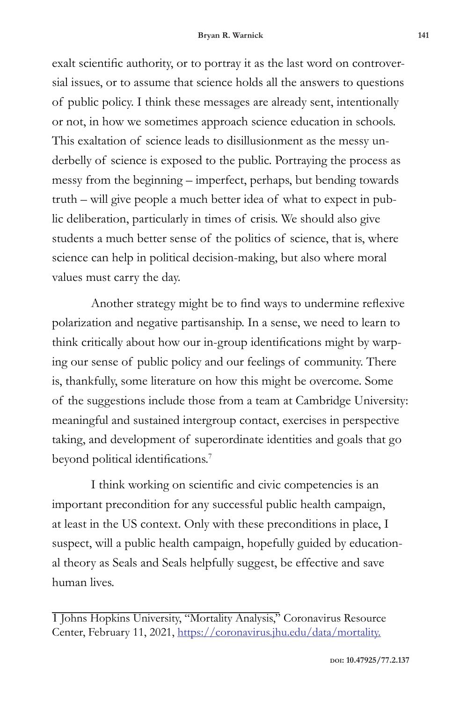exalt scientific authority, or to portray it as the last word on controversial issues, or to assume that science holds all the answers to questions of public policy. I think these messages are already sent, intentionally or not, in how we sometimes approach science education in schools. This exaltation of science leads to disillusionment as the messy underbelly of science is exposed to the public. Portraying the process as messy from the beginning – imperfect, perhaps, but bending towards truth – will give people a much better idea of what to expect in public deliberation, particularly in times of crisis. We should also give students a much better sense of the politics of science, that is, where science can help in political decision-making, but also where moral values must carry the day.

Another strategy might be to find ways to undermine reflexive polarization and negative partisanship. In a sense, we need to learn to think critically about how our in-group identifications might by warping our sense of public policy and our feelings of community. There is, thankfully, some literature on how this might be overcome. Some of the suggestions include those from a team at Cambridge University: meaningful and sustained intergroup contact, exercises in perspective taking, and development of superordinate identities and goals that go beyond political identifications.<sup>7</sup>

I think working on scientific and civic competencies is an important precondition for any successful public health campaign, at least in the US context. Only with these preconditions in place, I suspect, will a public health campaign, hopefully guided by educational theory as Seals and Seals helpfully suggest, be effective and save human lives.

<sup>1</sup> Johns Hopkins University, "Mortality Analysis," Coronavirus Resource Center, February 11, 2021, https://coronavirus.jhu.edu/data/mortality.